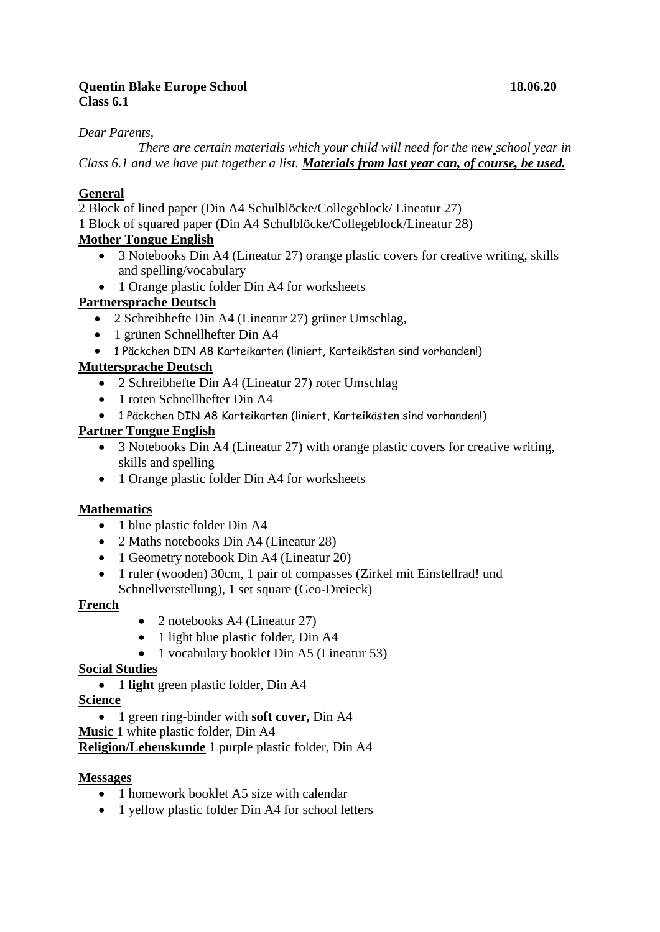## **Quentin Blake Europe School 18.06.20 Class 6.1**

### *Dear Parents,*

*There are certain materials which your child will need for the new school year in Class 6.1 and we have put together a list. Materials from last year can, of course, be used.*

## **General**

2 Block of lined paper (Din A4 Schulblöcke/Collegeblock/ Lineatur 27)

1 Block of squared paper (Din A4 Schulblöcke/Collegeblock/Lineatur 28)

## **Mother Tongue English**

- 3 Notebooks Din A4 (Lineatur 27) orange plastic covers for creative writing, skills and spelling/vocabulary
- 1 Orange plastic folder Din A4 for worksheets

## **Partnersprache Deutsch**

- 2 Schreibhefte Din A4 (Lineatur 27) grüner Umschlag,
- 1 grünen Schnellhefter Din A4
- 1 Päckchen DIN A8 Karteikarten (liniert, Karteikästen sind vorhanden!)

## **Muttersprache Deutsch**

- 2 Schreibhefte Din A4 (Lineatur 27) roter Umschlag
- 1 roten Schnellhefter Din A4
- 1 Päckchen DIN A8 Karteikarten (liniert, Karteikästen sind vorhanden!)

## **Partner Tongue English**

- 3 Notebooks Din A4 (Lineatur 27) with orange plastic covers for creative writing, skills and spelling
- 1 Orange plastic folder Din A4 for worksheets

### **Mathematics**

- 1 blue plastic folder Din A4
- 2 Maths notebooks Din A4 (Lineatur 28)
- 1 Geometry notebook Din A4 (Lineatur 20)
- 1 ruler (wooden) 30cm, 1 pair of compasses (Zirkel mit Einstellrad! und Schnellverstellung), 1 set square (Geo-Dreieck)

### **French**

- 2 notebooks A4 (Lineatur 27)
- 1 light blue plastic folder, Din A4
- 1 vocabulary booklet Din A5 (Lineatur 53)

### **Social Studies**

• 1 **light** green plastic folder, Din A4

### **Science**

- 1 green ring-binder with **soft cover,** Din A4
- **Music** 1 white plastic folder, Din A4

**Religion/Lebenskunde** 1 purple plastic folder, Din A4

#### **Messages**

- 1 homework booklet A5 size with calendar
- 1 yellow plastic folder Din A4 for school letters